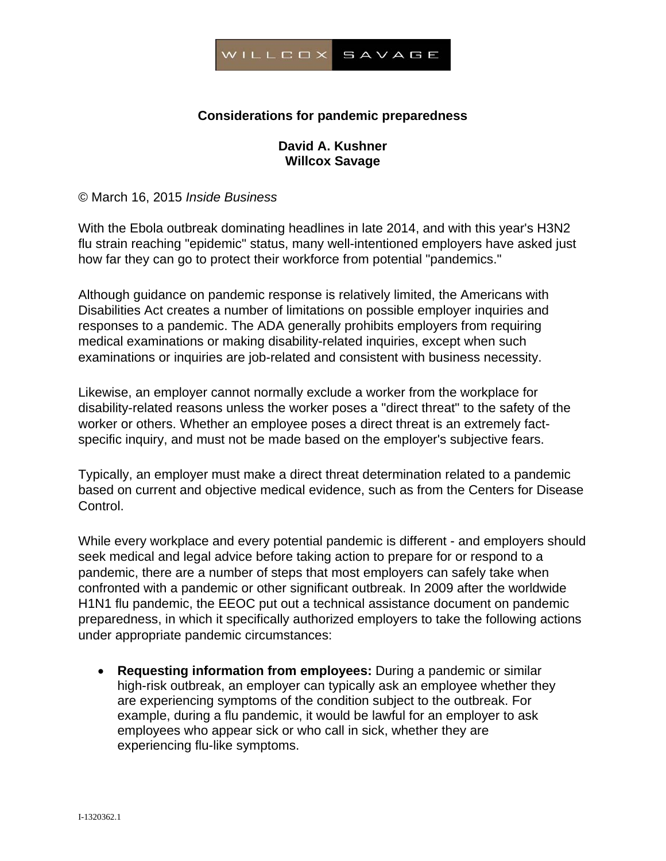

## **Considerations for pandemic preparedness**

## **David A. Kushner Willcox Savage**

© March 16, 2015 *Inside Business* 

With the Ebola outbreak dominating headlines in late 2014, and with this year's H3N2 flu strain reaching "epidemic" status, many well-intentioned employers have asked just how far they can go to protect their workforce from potential "pandemics."

Although guidance on pandemic response is relatively limited, the Americans with Disabilities Act creates a number of limitations on possible employer inquiries and responses to a pandemic. The ADA generally prohibits employers from requiring medical examinations or making disability-related inquiries, except when such examinations or inquiries are job-related and consistent with business necessity.

Likewise, an employer cannot normally exclude a worker from the workplace for disability-related reasons unless the worker poses a "direct threat" to the safety of the worker or others. Whether an employee poses a direct threat is an extremely factspecific inquiry, and must not be made based on the employer's subjective fears.

Typically, an employer must make a direct threat determination related to a pandemic based on current and objective medical evidence, such as from the Centers for Disease Control.

While every workplace and every potential pandemic is different - and employers should seek medical and legal advice before taking action to prepare for or respond to a pandemic, there are a number of steps that most employers can safely take when confronted with a pandemic or other significant outbreak. In 2009 after the worldwide H1N1 flu pandemic, the EEOC put out a technical assistance document on pandemic preparedness, in which it specifically authorized employers to take the following actions under appropriate pandemic circumstances:

 **Requesting information from employees:** During a pandemic or similar high-risk outbreak, an employer can typically ask an employee whether they are experiencing symptoms of the condition subject to the outbreak. For example, during a flu pandemic, it would be lawful for an employer to ask employees who appear sick or who call in sick, whether they are experiencing flu-like symptoms.